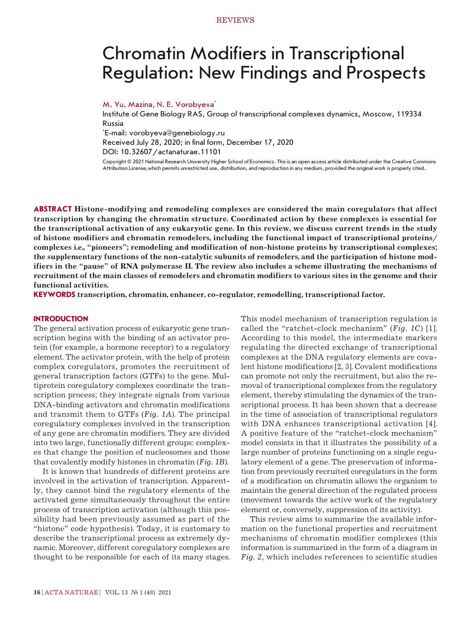# Chromatin Modifiers in Transcriptional Regulation: New Findings and Prospects

## M. Yu. Mazina, N. E. Vorobyeva\*

Institute of Gene Biology RAS, Group of transcriptional complexes dynamics, Moscow, 119334 Russia

\* E-mail: vorobyeva@genebiology.ru

Received July 28, 2020; in final form, December 17, 2020

DOI: 10.32607/actanaturae.11101

Copyright © 2021 National Research University Higher School of Economics. This is an open access article distributed under the Creative Commons Attribution License,which permits unrestricted use, distribution, and reproduction in any medium, provided the original work is properly cited.

**ABSTRACT Histone-modifying and remodeling complexes are considered the main coregulators that affect transcription by changing the chromatin structure. Coordinated action by these complexes is essential for the transcriptional activation of any eukaryotic gene. In this review, we discuss current trends in the study of histone modifiers and chromatin remodelers, including the functional impact of transcriptional proteins/ complexes i.e., "pioneers"; remodeling and modification of non-histone proteins by transcriptional complexes; the supplementary functions of the non-catalytic subunits of remodelers, and the participation of histone modifiers in the "pause" of RNA polymerase II. The review also includes a scheme illustrating the mechanisms of recruitment of the main classes of remodelers and chromatin modifiers to various sites in the genome and their functional activities.**

**KEYWORDS transcription, chromatin, enhancer, co-regulator, remodelling, transcriptional factor.**

#### **INTRODUCTION**

The general activation process of eukaryotic gene transcription begins with the binding of an activator protein (for example, a hormone receptor) to a regulatory element. The activator protein, with the help of protein complex coregulators, promotes the recruitment of general transcription factors (GTFs) to the gene. Multiprotein coregulatory complexes coordinate the transcription process; they integrate signals from various DNA-binding activators and chromatin modifications and transmit them to GTFs (*Fig. 1А*). The principal coregulatory complexes involved in the transcription of any gene are chromatin modifiers. They are divided into two large, functionally different groups: complexes that change the position of nucleosomes and those that covalently modify histones in chromatin (*Fig. 1B*).

It is known that hundreds of different proteins are involved in the activation of transcription. Apparently, they cannot bind the regulatory elements of the activated gene simultaneously throughout the entire process of transcription activation (although this possibility had been previously assumed as part of the "histone" code hypothesis). Today, it is customary to describe the transcriptional process as extremely dynamic. Moreover, different coregulatory complexes are thought to be responsible for each of its many stages. This model mechanism of transcription regulation is called the "ratchet-clock mechanism" (*Fig. 1C*) [1]. According to this model, the intermediate markers regulating the directed exchange of transcriptional complexes at the DNA regulatory elements are covalent histone modifications [2, 3]. Covalent modifications can promote not only the recruitment, but also the removal of transcriptional complexes from the regulatory element, thereby stimulating the dynamics of the transcriptional process. It has been shown that a decrease in the time of association of transcriptional regulators with DNA enhances transcriptional activation [4]. A positive feature of the "ratchet-clock mechanism" model consists in that it illustrates the possibility of a large number of proteins functioning on a single regulatory element of a gene. The preservation of information from previously recruited coregulators in the form of a modification on chromatin allows the organism to maintain the general direction of the regulated process (movement towards the active work of the regulatory element or, conversely, suppression of its activity).

This review aims to summarize the available information on the functional properties and recruitment mechanisms of chromatin modifier complexes (this information is summarized in the form of a diagram in *Fig. 2*, which includes references to scientific studies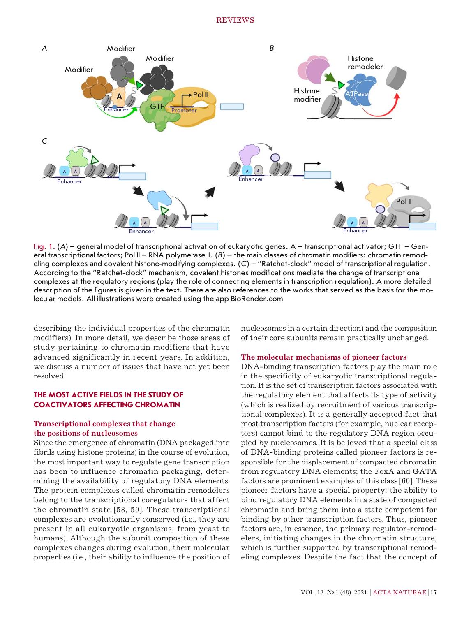

Fig. 1. (*А*) – general model of transcriptional activation of eukaryotic genes. А – transcriptional activator; GTF – General transcriptional factors; Pol II – RNA polymerase II. (B) – the main classes of chromatin modifiers: chromatin remodeling complexes and covalent histone-modifying complexes. (*C*) – "Ratchet-clock" model of transcriptional regulation. According to the "Ratchet-clock" mechanism, covalent histones modifications mediate the change of transcriptional complexes at the regulatory regions (play the role of connecting elements in transcription regulation). A more detailed description of the figures is given in the text. There are also references to the works that served as the basis for the molecular models. All illustrations were created using the app BioRender.com

describing the individual properties of the chromatin modifiers). In more detail, we describe those areas of study pertaining to chromatin modifiers that have advanced significantly in recent years. In addition, we discuss a number of issues that have not yet been resolved.

## **THE MOST ACTIVE FIELDS IN THE STUDY OF COACTIVATORS AFFECTING CHROMATIN**

## **Transcriptional complexes that change the positions of nucleosomes**

Since the emergence of chromatin (DNA packaged into fibrils using histone proteins) in the course of evolution, the most important way to regulate gene transcription has been to influence chromatin packaging, determining the availability of regulatory DNA elements. The protein complexes called chromatin remodelers belong to the transcriptional coregulators that affect the chromatin state [58, 59]. These transcriptional complexes are evolutionarily conserved (i.e., they are present in all eukaryotic organisms, from yeast to humans). Although the subunit composition of these complexes changes during evolution, their molecular properties (i.e., their ability to influence the position of nucleosomes in a certain direction) and the composition of their core subunits remain practically unchanged.

#### **The molecular mechanisms of pioneer factors**

DNA-binding transcription factors play the main role in the specificity of eukaryotic transcriptional regulation. It is the set of transcription factors associated with the regulatory element that affects its type of activity (which is realized by recruitment of various transcriptional complexes). It is a generally accepted fact that most transcription factors (for example, nuclear receptors) cannot bind to the regulatory DNA region occupied by nucleosomes. It is believed that a special class of DNA-binding proteins called pioneer factors is responsible for the displacement of compacted chromatin from regulatory DNA elements; the FoxA and GATA factors are prominent examples of this class [60]. These pioneer factors have a special property: the ability to bind regulatory DNA elements in a state of compacted chromatin and bring them into a state competent for binding by other transcription factors. Thus, pioneer factors are, in essence, the primary regulator-remodelers, initiating changes in the chromatin structure, which is further supported by transcriptional remodeling complexes. Despite the fact that the concept of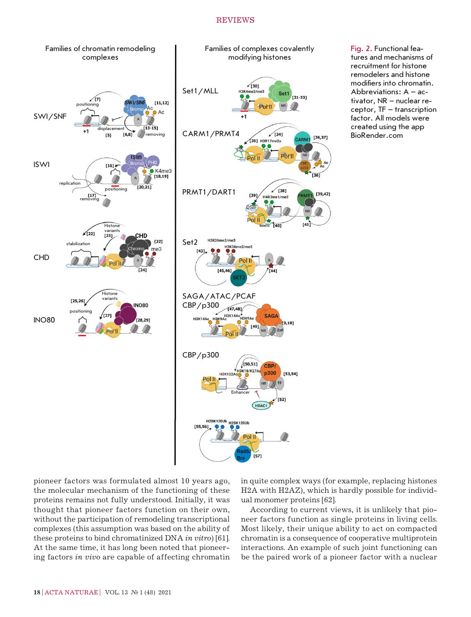

Fig. 2. Functional features and mechanisms of recruitment for histone remodelers and histone modifiers into chromatin. Abbreviations: A – activator, NR – nuclear receptor, TF – transcription factor. All models were created using the app BioRender.com

pioneer factors was formulated almost 10 years ago, the molecular mechanism of the functioning of these proteins remains not fully understood. Initially, it was thought that pioneer factors function on their own, without the participation of remodeling transcriptional complexes (this assumption was based on the ability of these proteins to bind chromatinized DNA *in vitro*) [61]. At the same time, it has long been noted that pioneering factors *in vivo* are capable of affecting chromatin in quite complex ways (for example, replacing histones H2A with H2AZ), which is hardly possible for individual monomer proteins [62].

According to current views, it is unlikely that pioneer factors function as single proteins in living cells. Most likely, their unique ability to act on compacted chromatin is a consequence of cooperative multiprotein interactions. An example of such joint functioning can be the paired work of a pioneer factor with a nuclear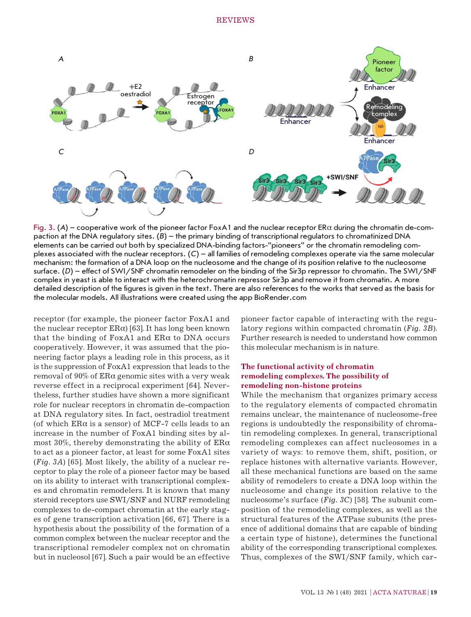

Fig. 3.  $(A)$  – cooperative work of the pioneer factor FoxA1 and the nuclear receptor ER $\alpha$  during the chromatin de-compaction at the DNA regulatory sites. (*B*) – the primary binding of transcriptional regulators to chromatinized DNA elements can be carried out both by specialized DNA-binding factors-"pioneers" or the chromatin remodeling complexes associated with the nuclear receptors. (*C*) – all families of remodeling complexes operate via the same molecular mechanism: the formation of a DNA loop on the nucleosome and the change of its position relative to the nucleosome surface. (D) – effect of SWI/SNF chromatin remodeler on the binding of the Sir3p repressor to chromatin. The SWI/SNF complex in yeast is able to interact with the heterochromatin repressor Sir3p and remove it from chromatin. A more detailed description of the figures is given in the text. There are also references to the works that served as the basis for the molecular models. All illustrations were created using the app BioRender.com

receptor (for example, the pioneer factor FoxA1 and the nuclear receptor  $ER\alpha$ ) [63]. It has long been known that the binding of FoxA1 and  $ERα$  to DNA occurs cooperatively. However, it was assumed that the pioneering factor plays a leading role in this process, as it is the suppression of FoxA1 expression that leads to the removal of  $90\%$  of ERα genomic sites with a very weak reverse effect in a reciprocal experiment [64]. Nevertheless, further studies have shown a more significant role for nuclear receptors in chromatin de-compaction at DNA regulatory sites. In fact, oestradiol treatment (of which  $ER\alpha$  is a sensor) of MCF-7 cells leads to an increase in the number of FoxA1 binding sites by almost 30%, thereby demonstrating the ability of  $ER\alpha$ to act as a pioneer factor, at least for some FoxA1 sites (*Fig. 3А*) [65]. Most likely, the ability of a nuclear receptor to play the role of a pioneer factor may be based on its ability to interact with transcriptional complexes and chromatin remodelers. It is known that many steroid receptors use SWI/SNF and NURF remodeling complexes to de-compact chromatin at the early stages of gene transcription activation [66, 67]. There is a hypothesis about the possibility of the formation of a common complex between the nuclear receptor and the transcriptional remodeler complex not on chromatin but in nucleosol [67]. Such a pair would be an effective

pioneer factor capable of interacting with the regulatory regions within compacted chromatin (*Fig. 3B*). Further research is needed to understand how common this molecular mechanism is in nature.

## **The functional activity of chromatin remodeling complexes. The possibility of remodeling non-histone proteins**

While the mechanism that organizes primary access to the regulatory elements of compacted chromatin remains unclear, the maintenance of nucleosome-free regions is undoubtedly the responsibility of chromatin remodeling complexes. In general, transcriptional remodeling complexes can affect nucleosomes in a variety of ways: to remove them, shift, position, or replace histones with alternative variants. However, all these mechanical functions are based on the same ability of remodelers to create a DNA loop within the nucleosome and change its position relative to the nucleosome's surface (*Fig. 3C*) [58]. The subunit composition of the remodeling complexes, as well as the structural features of the ATPase subunits (the presence of additional domains that are capable of binding a certain type of histone), determines the functional ability of the corresponding transcriptional complexes. Thus, complexes of the SWI/SNF family, which car-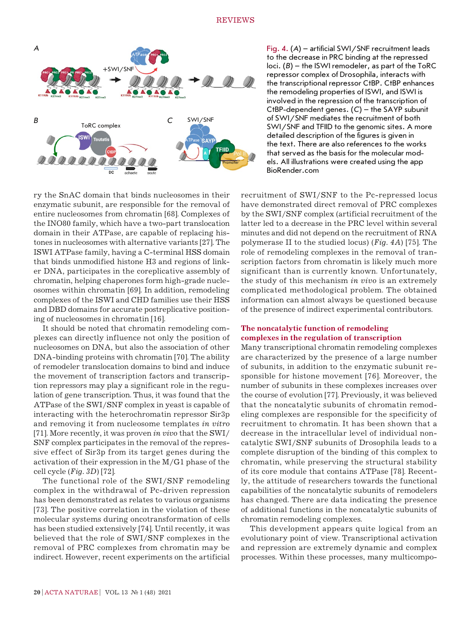

ry the SnAC domain that binds nucleosomes in their enzymatic subunit, are responsible for the removal of entire nucleosomes from chromatin [68]. Complexes of the INO80 family, which have a two-part translocation domain in their ATPase, are capable of replacing histones in nucleosomes with alternative variants [27]. The ISWI ATPase family, having a C-terminal HSS domain that binds unmodified histone H3 and regions of linker DNA, participates in the coreplicative assembly of chromatin, helping chaperones form high-grade nucleosomes within chromatin [69]. In addition, remodeling complexes of the ISWI and CHD families use their HSS and DBD domains for accurate postreplicative positioning of nucleosomes in chromatin [16].

It should be noted that chromatin remodeling complexes can directly influence not only the position of nucleosomes on DNA, but also the association of other DNA-binding proteins with chromatin [70]. The ability of remodeler translocation domains to bind and induce the movement of transcription factors and transcription repressors may play a significant role in the regulation of gene transcription. Thus, it was found that the ATPase of the SWI/SNF complex in yeast is capable of interacting with the heterochromatin repressor Sir3p and removing it from nucleosome templates *in vitro* [71]. More recently, it was proven *in vivo* that the SWI/ SNF complex participates in the removal of the repressive effect of Sir3p from its target genes during the activation of their expression in the M/G1 phase of the cell cycle (*Fig. 3D*) [72].

The functional role of the SWI/SNF remodeling complex in the withdrawal of Pc-driven repression has been demonstrated as relates to various organisms [73]. The positive correlation in the violation of these molecular systems during oncotransformation of cells has been studied extensively [74]. Until recently, it was believed that the role of SWI/SNF complexes in the removal of PRC complexes from chromatin may be indirect. However, recent experiments on the artificial Fig. 4. (*А*) – artificial SWI/SNF recruitment leads to the decrease in PRC binding at the repressed loci. (*B*) – the ISWI remodeler, as part of the ToRC repressor complex of Drosophila, interacts with the transcriptional repressor CtBP. CtBP enhances the remodeling properties of ISWI, and ISWI is involved in the repression of the transcription of CtBP-dependent genes. (*C*) – the SAYP subunit of SWI/SNF mediates the recruitment of both SWI/SNF and TFIID to the genomic sites. A more detailed description of the figures is given in the text. There are also references to the works that served as the basis for the molecular models. All illustrations were created using the app BioRender.com

recruitment of SWI/SNF to the Pc-repressed locus have demonstrated direct removal of PRC complexes by the SWI/SNF complex (artificial recruitment of the latter led to a decrease in the PRC level within several minutes and did not depend on the recruitment of RNA polymerase II to the studied locus) (*Fig. 4А*) [75]. The role of remodeling complexes in the removal of transcription factors from chromatin is likely much more significant than is currently known. Unfortunately, the study of this mechanism *in vivo* is an extremely complicated methodological problem. The obtained information can almost always be questioned because of the presence of indirect experimental contributors.

## **The noncatalytic function of remodeling complexes in the regulation of transcription**

Many transcriptional chromatin remodeling complexes are characterized by the presence of a large number of subunits, in addition to the enzymatic subunit responsible for histone movement [76]. Moreover, the number of subunits in these complexes increases over the course of evolution [77]. Previously, it was believed that the noncatalytic subunits of chromatin remodeling complexes are responsible for the specificity of recruitment to chromatin. It has been shown that a decrease in the intracellular level of individual noncatalytic SWI/SNF subunits of Drosophila leads to a complete disruption of the binding of this complex to chromatin, while preserving the structural stability of its core module that contains ATPase [78]. Recently, the attitude of researchers towards the functional capabilities of the noncatalytic subunits of remodelers has changed. There are data indicating the presence of additional functions in the noncatalytic subunits of chromatin remodeling complexes.

This development appears quite logical from an evolutionary point of view. Transcriptional activation and repression are extremely dynamic and complex processes. Within these processes, many multicompo-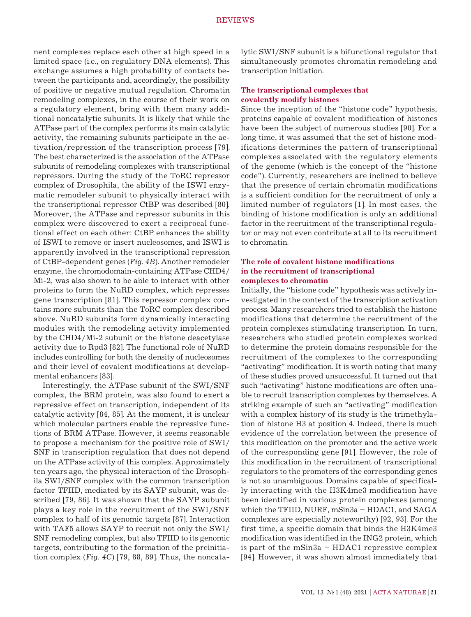nent complexes replace each other at high speed in a limited space (i.e., on regulatory DNA elements). This exchange assumes a high probability of contacts between the participants and, accordingly, the possibility of positive or negative mutual regulation. Chromatin remodeling complexes, in the course of their work on a regulatory element, bring with them many additional noncatalytic subunits. It is likely that while the ATPase part of the complex performs its main catalytic activity, the remaining subunits participate in the activation/repression of the transcription process [79]. The best characterized is the association of the ATPase subunits of remodeling complexes with transcriptional repressors. During the study of the ToRC repressor complex of Drosophila, the ability of the ISWI enzymatic remodeler subunit to physically interact with the transcriptional repressor CtBP was described [80]. Moreover, the ATPase and repressor subunits in this complex were discovered to exert a reciprocal functional effect on each other: CtBP enhances the ability of ISWI to remove or insert nucleosomes, and ISWI is apparently involved in the transcriptional repression of CtBP-dependent genes (*Fig. 4B*). Another remodeler enzyme, the chromodomain-containing ATPase CHD4/ Mi-2, was also shown to be able to interact with other proteins to form the NuRD complex, which represses gene transcription [81]. This repressor complex contains more subunits than the ToRC complex described above. NuRD subunits form dynamically interacting modules with the remodeling activity implemented by the CHD4/Mi-2 subunit or the histone deacetylase activity due to Rpd3 [82]. The functional role of NuRD includes controlling for both the density of nucleosomes and their level of covalent modifications at developmental enhancers [83].

Interestingly, the ATPase subunit of the SWI/SNF complex, the BRM protein, was also found to exert a repressive effect on transcription, independent of its catalytic activity [84, 85]. At the moment, it is unclear which molecular partners enable the repressive functions of BRM ATPase. However, it seems reasonable to propose a mechanism for the positive role of SWI/ SNF in transcription regulation that does not depend on the ATPase activity of this complex. Approximately ten years ago, the physical interaction of the Drosophila SWI/SNF complex with the common transcription factor TFIID, mediated by its SAYP subunit, was described [79, 86]. It was shown that the SAYP subunit plays a key role in the recruitment of the SWI/SNF complex to half of its genomic targets [87]. Interaction with TAF5 allows SAYP to recruit not only the SWI/ SNF remodeling complex, but also TFIID to its genomic targets, contributing to the formation of the preinitiation complex (*Fig. 4C*) [79, 88, 89]. Thus, the noncatalytic SWI/SNF subunit is a bifunctional regulator that simultaneously promotes chromatin remodeling and transcription initiation.

## **The transcriptional complexes that covalently modify histones**

Since the inception of the "histone code" hypothesis, proteins capable of covalent modification of histones have been the subject of numerous studies [90]. For a long time, it was assumed that the set of histone modifications determines the pattern of transcriptional complexes associated with the regulatory elements of the genome (which is the concept of the "histone code"). Currently, researchers are inclined to believe that the presence of certain chromatin modifications is a sufficient condition for the recruitment of only a limited number of regulators [1]. In most cases, the binding of histone modification is only an additional factor in the recruitment of the transcriptional regulator or may not even contribute at all to its recruitment to chromatin.

## **The role of covalent histone modifications in the recruitment of transcriptional complexes to chromatin**

Initially, the "histone code" hypothesis was actively investigated in the context of the transcription activation process. Many researchers tried to establish the histone modifications that determine the recruitment of the protein complexes stimulating transcription. In turn, researchers who studied protein complexes worked to determine the protein domains responsible for the recruitment of the complexes to the corresponding "activating" modification. It is worth noting that many of these studies proved unsuccessful. It turned out that such "activating" histone modifications are often unable to recruit transcription complexes by themselves. A striking example of such an "activating" modification with a complex history of its study is the trimethylation of histone H3 at position 4. Indeed, there is much evidence of the correlation between the presence of this modification on the promoter and the active work of the corresponding gene [91]. However, the role of this modification in the recruitment of transcriptional regulators to the promoters of the corresponding genes is not so unambiguous. Domains capable of specifically interacting with the H3K4me3 modification have been identified in various protein complexes (among which the TFIID, NURF, mSin3a – HDAC1, and SAGA complexes are especially noteworthy) [92, 93]. For the first time, a specific domain that binds the H3K4me3 modification was identified in the ING2 protein, which is part of the mSin3a – HDAC1 repressive complex [94]. However, it was shown almost immediately that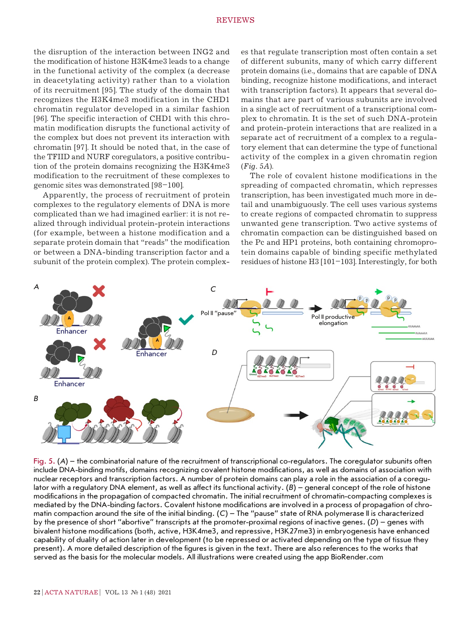the disruption of the interaction between ING2 and the modification of histone H3K4me3 leads to a change in the functional activity of the complex (a decrease in deacetylating activity) rather than to a violation of its recruitment [95]. The study of the domain that recognizes the H3K4me3 modification in the CHD1 chromatin regulator developed in a similar fashion [96]. The specific interaction of CHD1 with this chromatin modification disrupts the functional activity of the complex but does not prevent its interaction with chromatin [97]. It should be noted that, in the case of the TFIID and NURF coregulators, a positive contribution of the protein domains recognizing the H3K4me3 modification to the recruitment of these complexes to genomic sites was demonstrated [98–100].

Apparently, the process of recruitment of protein complexes to the regulatory elements of DNA is more complicated than we had imagined earlier: it is not realized through individual protein-protein interactions (for example, between a histone modification and a separate protein domain that "reads" the modification or between a DNA-binding transcription factor and a subunit of the protein complex). The protein complex-

es that regulate transcription most often contain a set of different subunits, many of which carry different protein domains (i.e., domains that are capable of DNA binding, recognize histone modifications, and interact with transcription factors). It appears that several domains that are part of various subunits are involved in a single act of recruitment of a transcriptional complex to chromatin. It is the set of such DNA-protein and protein-protein interactions that are realized in a separate act of recruitment of a complex to a regulatory element that can determine the type of functional activity of the complex in a given chromatin region (*Fig. 5А*).

The role of covalent histone modifications in the spreading of compacted chromatin, which represses transcription, has been investigated much more in detail and unambiguously. The cell uses various systems to create regions of compacted chromatin to suppress unwanted gene transcription. Two active systems of chromatin compaction can be distinguished based on the Pc and HP1 proteins, both containing chromoprotein domains capable of binding specific methylated residues of histone H3 [101–103]. Interestingly, for both



Fig. 5. (A) – the combinatorial nature of the recruitment of transcriptional co-regulators. The coregulator subunits often include DNA-binding motifs, domains recognizing covalent histone modifications, as well as domains of association with nuclear receptors and transcription factors. A number of protein domains can play a role in the association of a coregulator with a regulatory DNA element, as well as affect its functional activity. (*B*) – general concept of the role of histone modifications in the propagation of compacted chromatin. The initial recruitment of chromatin-compacting complexes is mediated by the DNA-binding factors. Covalent histone modifications are involved in a process of propagation of chromatin compaction around the site of the initial binding. (*C*) – The "pause" state of RNA polymerase II is characterized by the presence of short "abortive" transcripts at the promoter-proximal regions of inactive genes. (*D*) – genes with bivalent histone modifications (both, active, H3K4me3, and repressive, H3K27me3) in embryogenesis have enhanced capability of duality of action later in development (to be repressed or activated depending on the type of tissue they present). A more detailed description of the figures is given in the text. There are also references to the works that served as the basis for the molecular models. All illustrations were created using the app BioRender.com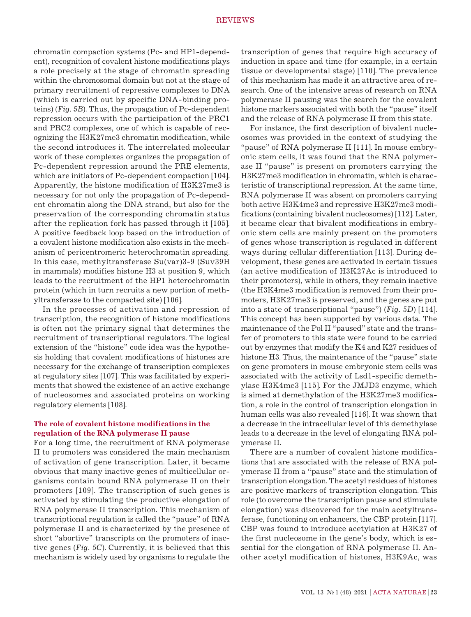chromatin compaction systems (Pc- and HP1-dependent), recognition of covalent histone modifications plays a role precisely at the stage of chromatin spreading within the chromosomal domain but not at the stage of primary recruitment of repressive complexes to DNA (which is carried out by specific DNA-binding proteins) (*Fig. 5B*). Thus, the propagation of Pc-dependent repression occurs with the participation of the PRC1 and PRC2 complexes, one of which is capable of recognizing the H3K27me3 chromatin modification, while the second introduces it. The interrelated molecular work of these complexes organizes the propagation of Pc-dependent repression around the PRE elements, which are initiators of Pc-dependent compaction [104]. Apparently, the histone modification of H3K27me3 is necessary for not only the propagation of Pc-dependent chromatin along the DNA strand, but also for the preservation of the corresponding chromatin status after the replication fork has passed through it [105]. A positive feedback loop based on the introduction of a covalent histone modification also exists in the mechanism of pericentromeric heterochromatin spreading. In this case, methyltransferase Su(var)3-9 (Suv39H in mammals) modifies histone H3 at position 9, which leads to the recruitment of the HP1 heterochromatin protein (which in turn recruits a new portion of methyltransferase to the compacted site) [106].

In the processes of activation and repression of transcription, the recognition of histone modifications is often not the primary signal that determines the recruitment of transcriptional regulators. The logical extension of the "histone" code idea was the hypothesis holding that covalent modifications of histones are necessary for the exchange of transcription complexes at regulatory sites [107]. This was facilitated by experiments that showed the existence of an active exchange of nucleosomes and associated proteins on working regulatory elements [108].

## **The role of covalent histone modifications in the regulation of the RNA polymerase II pause**

For a long time, the recruitment of RNA polymerase II to promoters was considered the main mechanism of activation of gene transcription. Later, it became obvious that many inactive genes of multicellular organisms contain bound RNA polymerase II on their promoters [109]. The transcription of such genes is activated by stimulating the productive elongation of RNA polymerase II transcription. This mechanism of transcriptional regulation is called the "pause" of RNA polymerase II and is characterized by the presence of short "abortive" transcripts on the promoters of inactive genes (*Fig. 5C*). Currently, it is believed that this mechanism is widely used by organisms to regulate the transcription of genes that require high accuracy of induction in space and time (for example, in a certain tissue or developmental stage) [110]. The prevalence of this mechanism has made it an attractive area of research. One of the intensive areas of research on RNA polymerase II pausing was the search for the covalent histone markers associated with both the "pause" itself and the release of RNA polymerase II from this state.

For instance, the first description of bivalent nucleosomes was provided in the context of studying the "pause" of RNA polymerase II [111]. In mouse embryonic stem cells, it was found that the RNA polymerase II "pause" is present on promoters carrying the H3K27me3 modification in chromatin, which is characteristic of transcriptional repression. At the same time, RNA polymerase II was absent on promoters carrying both active H3K4me3 and repressive H3K27me3 modifications (containing bivalent nucleosomes) [112]. Later, it became clear that bivalent modifications in embryonic stem cells are mainly present on the promoters of genes whose transcription is regulated in different ways during cellular differentiation [113]. During development, these genes are activated in certain tissues (an active modification of H3K27Ac is introduced to their promoters), while in others, they remain inactive (the H3K4me3 modification is removed from their promoters, H3K27me3 is preserved, and the genes are put into a state of transcriptional "pause") (*Fig. 5D*) [114]. This concept has been supported by various data. The maintenance of the Pol II "paused" state and the transfer of promoters to this state were found to be carried out by enzymes that modify the K4 and K27 residues of histone H3. Thus, the maintenance of the "pause" state on gene promoters in mouse embryonic stem cells was associated with the activity of Lsd1-specific demethylase H3K4me3 [115]. For the JMJD3 enzyme, which is aimed at demethylation of the H3K27me3 modification, a role in the control of transcription elongation in human cells was also revealed [116]. It was shown that a decrease in the intracellular level of this demethylase leads to a decrease in the level of elongating RNA polymerase II.

There are a number of covalent histone modifications that are associated with the release of RNA polymerase II from a "pause" state and the stimulation of transcription elongation. The acetyl residues of histones are positive markers of transcription elongation. This role (to overcome the transcription pause and stimulate elongation) was discovered for the main acetyltransferase, functioning on enhancers, the CBP protein [117]. CBP was found to introduce acetylation at H3K27 of the first nucleosome in the gene's body, which is essential for the elongation of RNA polymerase II. Another acetyl modification of histones, H3K9Ac, was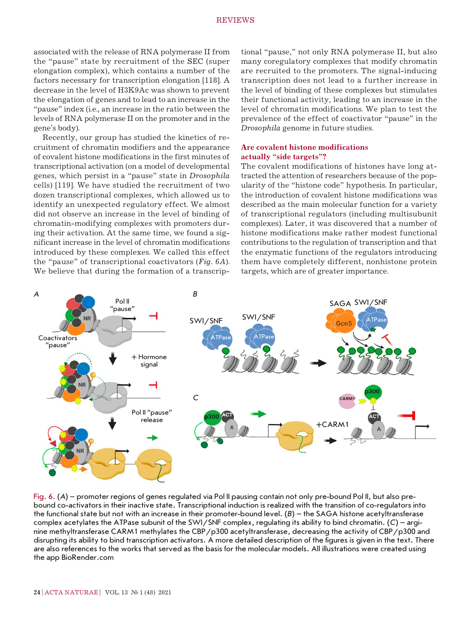associated with the release of RNA polymerase II from the "pause" state by recruitment of the SEC (super elongation complex), which contains a number of the factors necessary for transcription elongation [118]. A decrease in the level of H3K9Ac was shown to prevent the elongation of genes and to lead to an increase in the "pause" index (i.e., an increase in the ratio between the levels of RNA polymerase II on the promoter and in the gene's body).

Recently, our group has studied the kinetics of recruitment of chromatin modifiers and the appearance of covalent histone modifications in the first minutes of transcriptional activation (on a model of developmental genes, which persist in a "pause" state in *Drosophila* cells) [119]. We have studied the recruitment of two dozen transcriptional complexes, which allowed us to identify an unexpected regulatory effect. We almost did not observe an increase in the level of binding of chromatin-modifying complexes with promoters during their activation. At the same time, we found a significant increase in the level of chromatin modifications introduced by these complexes. We called this effect the "pause" of transcriptional coactivators (*Fig. 6А*). We believe that during the formation of a transcrip-

tional "pause," not only RNA polymerase II, but also many coregulatory complexes that modify chromatin are recruited to the promoters. The signal-inducing transcription does not lead to a further increase in the level of binding of these complexes but stimulates their functional activity, leading to an increase in the level of chromatin modifications. We plan to test the prevalence of the effect of coactivator "pause" in the *Drosophila* genome in future studies.

## **Are covalent histone modifications actually "side targets"?**

The covalent modifications of histones have long attracted the attention of researchers because of the popularity of the "histone code" hypothesis. In particular, the introduction of covalent histone modifications was described as the main molecular function for a variety of transcriptional regulators (including multisubunit complexes). Later, it was discovered that a number of histone modifications make rather modest functional contributions to the regulation of transcription and that the enzymatic functions of the regulators introducing them have completely different, nonhistone protein targets, which are of greater importance.



Fig. 6. (*А*) – promoter regions of genes regulated via Pol II pausing contain not only pre-bound Pol II, but also prebound co-activators in their inactive state. Transcriptional induction is realized with the transition of co-regulators into the functional state but not with an increase in their promoter-bound level. (*B*) – the SAGA histone acetyltransferase complex acetylates the ATPase subunit of the SWI/SNF complex, regulating its ability to bind chromatin. (*C*) – arginine methyltransferase CARM1 methylates the CBP/p300 acetyltransferase, decreasing the activity of CBP/p300 and disrupting its ability to bind transcription activators. A more detailed description of the figures is given in the text. There are also references to the works that served as the basis for the molecular models. All illustrations were created using the app BioRender.com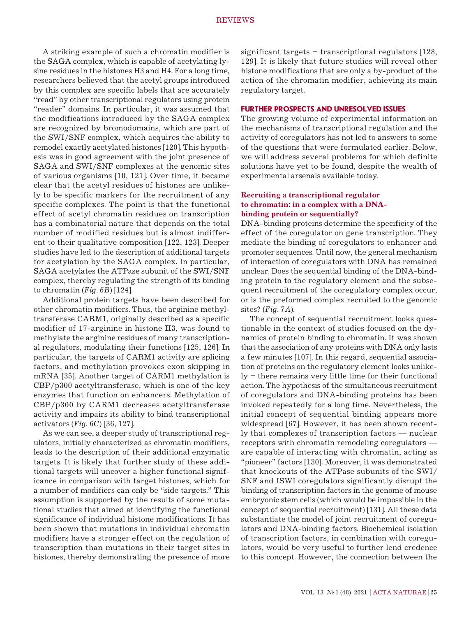A striking example of such a chromatin modifier is the SAGA complex, which is capable of acetylating lysine residues in the histones H3 and H4. For a long time, researchers believed that the acetyl groups introduced by this complex are specific labels that are accurately "read" by other transcriptional regulators using protein "reader" domains. In particular, it was assumed that the modifications introduced by the SAGA complex are recognized by bromodomains, which are part of the SWI/SNF complex, which acquires the ability to remodel exactly acetylated histones [120]. This hypothesis was in good agreement with the joint presence of SAGA and SWI/SNF complexes at the genomic sites of various organisms [10, 121]. Over time, it became clear that the acetyl residues of histones are unlikely to be specific markers for the recruitment of any specific complexes. The point is that the functional effect of acetyl chromatin residues on transcription has a combinatorial nature that depends on the total number of modified residues but is almost indifferent to their qualitative composition [122, 123]. Deeper studies have led to the description of additional targets for acetylation by the SAGA complex. In particular, SAGA acetylates the ATPase subunit of the SWI/SNF complex, thereby regulating the strength of its binding to chromatin (*Fig. 6B*) [124].

Additional protein targets have been described for other chromatin modifiers. Thus, the arginine methyltransferase CARM1, originally described as a specific modifier of 17-arginine in histone H3, was found to methylate the arginine residues of many transcriptional regulators, modulating their functions [125, 126]. In particular, the targets of CARM1 activity are splicing factors, and methylation provokes exon skipping in mRNA [35]. Another target of CARM1 methylation is CBP/p300 acetyltransferase, which is one of the key enzymes that function on enhancers. Methylation of CBP/p300 by CARM1 decreases acetyltransferase activity and impairs its ability to bind transcriptional activators (*Fig. 6C*) [36, 127].

As we can see, a deeper study of transcriptional regulators, initially characterized as chromatin modifiers, leads to the description of their additional enzymatic targets. It is likely that further study of these additional targets will uncover a higher functional significance in comparison with target histones, which for a number of modifiers can only be "side targets." This assumption is supported by the results of some mutational studies that aimed at identifying the functional significance of individual histone modifications. It has been shown that mutations in individual chromatin modifiers have a stronger effect on the regulation of transcription than mutations in their target sites in histones, thereby demonstrating the presence of more significant targets  $-$  transcriptional regulators  $[128,$ 129]. It is likely that future studies will reveal other histone modifications that are only a by-product of the action of the chromatin modifier, achieving its main regulatory target.

#### **FURTHER PROSPECTS AND UNRESOLVED ISSUES**

The growing volume of experimental information on the mechanisms of transcriptional regulation and the activity of coregulators has not led to answers to some of the questions that were formulated earlier. Below, we will address several problems for which definite solutions have yet to be found, despite the wealth of experimental arsenals available today.

## **Recruiting a transcriptional regulator to chromatin: in a complex with a DNAbinding protein or sequentially?**

DNA-binding proteins determine the specificity of the effect of the coregulator on gene transcription. They mediate the binding of coregulators to enhancer and promoter sequences. Until now, the general mechanism of interaction of coregulators with DNA has remained unclear. Does the sequential binding of the DNA-binding protein to the regulatory element and the subsequent recruitment of the coregulatory complex occur, or is the preformed complex recruited to the genomic sites? (*Fig. 7А*).

The concept of sequential recruitment looks questionable in the context of studies focused on the dynamics of protein binding to chromatin. It was shown that the association of any proteins with DNA only lasts a few minutes [107]. In this regard, sequential association of proteins on the regulatory element looks unlike $ly -$  there remains very little time for their functional action. The hypothesis of the simultaneous recruitment of coregulators and DNA-binding proteins has been invoked repeatedly for a long time. Nevertheless, the initial concept of sequential binding appears more widespread [67]. However, it has been shown recently that complexes of transcription factors — nuclear receptors with chromatin remodeling coregulators are capable of interacting with chromatin, acting as "pioneer" factors [130]. Moreover, it was demonstrated that knockouts of the ATPase subunits of the SWI/ SNF and ISWI coregulators significantly disrupt the binding of transcription factors in the genome of mouse embryonic stem cells (which would be impossible in the concept of sequential recruitment) [131]. All these data substantiate the model of joint recruitment of coregulators and DNA-binding factors. Biochemical isolation of transcription factors, in combination with coregulators, would be very useful to further lend credence to this concept. However, the connection between the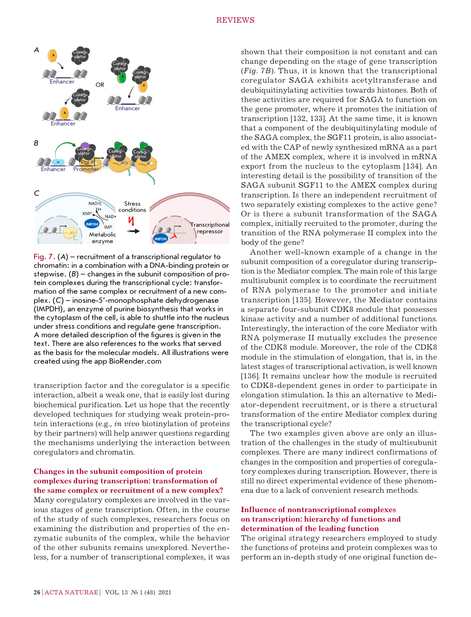

Fig. 7. (*А*) – recruitment of a transcriptional regulator to chromatin: in a combination with a DNA-binding protein or stepwise. (*B*) – changes in the subunit composition of protein complexes during the transcriptional cycle: transformation of the same complex or recruitment of a new complex. (*C*) – inosine-5'-monophosphate dehydrogenase (IMPDH), an enzyme of purine biosynthesis that works in the cytoplasm of the cell, is able to shuttle into the nucleus under stress conditions and regulate gene transcription. A more detailed description of the figures is given in the text. There are also references to the works that served as the basis for the molecular models. All illustrations were created using the app BioRender.com

transcription factor and the coregulator is a specific interaction, albeit a weak one, that is easily lost during biochemical purification. Let us hope that the recently developed techniques for studying weak protein-protein interactions (e.g., *in vivo* biotinylation of proteins by their partners) will help answer questions regarding the mechanisms underlying the interaction between coregulators and chromatin.

## **Changes in the subunit composition of protein complexes during transcription: transformation of the same complex or recruitment of a new complex?**

Many coregulatory complexes are involved in the various stages of gene transcription. Often, in the course of the study of such complexes, researchers focus on examining the distribution and properties of the enzymatic subunits of the complex, while the behavior of the other subunits remains unexplored. Nevertheless, for a number of transcriptional complexes, it was shown that their composition is not constant and can change depending on the stage of gene transcription (*Fig. 7B*). Thus, it is known that the transcriptional coregulator SAGA exhibits acetyltransferase and deubiquitinylating activities towards histones. Both of these activities are required for SAGA to function on the gene promoter, where it promotes the initiation of transcription [132, 133]. At the same time, it is known that a component of the deubiquitinylating module of the SAGA complex, the SGF11 protein, is also associated with the CAP of newly synthesized mRNA as a part of the AMEX complex, where it is involved in mRNA export from the nucleus to the cytoplasm [134]. An interesting detail is the possibility of transition of the SAGA subunit SGF11 to the AMEX complex during transcription. Is there an independent recruitment of two separately existing complexes to the active gene? Or is there a subunit transformation of the SAGA complex, initially recruited to the promoter, during the transition of the RNA polymerase II complex into the body of the gene?

Another well-known example of a change in the subunit composition of a coregulator during transcription is the Mediator complex. The main role of this large multisubunit complex is to coordinate the recruitment of RNA polymerase to the promoter and initiate transcription [135]. However, the Mediator contains a separate four-subunit CDK8 module that possesses kinase activity and a number of additional functions. Interestingly, the interaction of the core Mediator with RNA polymerase II mutually excludes the presence of the CDK8 module. Moreover, the role of the CDK8 module in the stimulation of elongation, that is, in the latest stages of transcriptional activation, is well known [136]. It remains unclear how the module is recruited to CDK8-dependent genes in order to participate in elongation stimulation. Is this an alternative to Mediator-dependent recruitment, or is there a structural transformation of the entire Mediator complex during the transcriptional cycle?

The two examples given above are only an illustration of the challenges in the study of multisubunit complexes. There are many indirect confirmations of changes in the composition and properties of coregulatory complexes during transcription. However, there is still no direct experimental evidence of these phenomena due to a lack of convenient research methods.

## **Influence of nontranscriptional complexes on transcription: hierarchy of functions and determination of the leading function**

The original strategy researchers employed to study the functions of proteins and protein complexes was to perform an in-depth study of one original function de-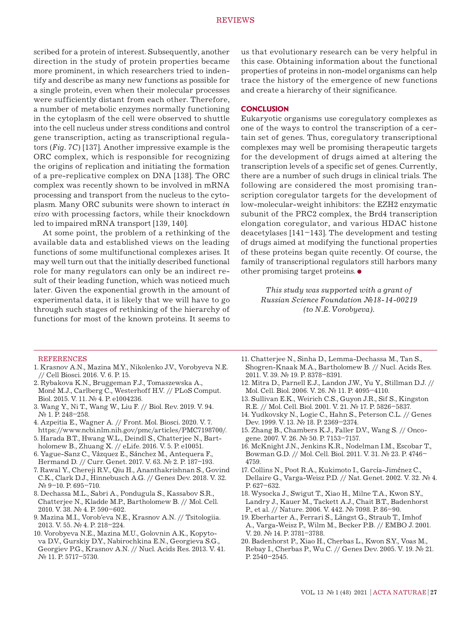scribed for a protein of interest. Subsequently, another direction in the study of protein properties became more prominent, in which researchers tried to indentify and describe as many new functions as possible for a single protein, even when their molecular processes were sufficiently distant from each other. Therefore, a number of metabolic enzymes normally functioning in the cytoplasm of the cell were observed to shuttle into the cell nucleus under stress conditions and control gene transcription, acting as transcriptional regulators (*Fig. 7C*) [137]. Another impressive example is the ORC complex, which is responsible for recognizing the origins of replication and initiating the formation of a pre-replicative complex on DNA [138]. The ORC complex was recently shown to be involved in mRNA processing and transport from the nucleus to the cytoplasm. Many ORC subunits were shown to interact *in vivo* with processing factors, while their knockdown led to impaired mRNA transport [139, 140].

At some point, the problem of a rethinking of the available data and established views on the leading functions of some multifunctional complexes arises. It may well turn out that the initially described functional role for many regulators can only be an indirect result of their leading function, which was noticed much later. Given the exponential growth in the amount of experimental data, it is likely that we will have to go through such stages of rethinking of the hierarchy of functions for most of the known proteins. It seems to us that evolutionary research can be very helpful in this case. Obtaining information about the functional properties of proteins in non-model organisms can help trace the history of the emergence of new functions and create a hierarchy of their significance.

#### **CONCLUSION**

Eukaryotic organisms use coregulatory complexes as one of the ways to control the transcription of a certain set of genes. Thus, coregulatory transcriptional complexes may well be promising therapeutic targets for the development of drugs aimed at altering the transcription levels of a specific set of genes. Currently, there are a number of such drugs in clinical trials. The following are considered the most promising transcription coregulator targets for the development of low-molecular-weight inhibitors: the EZH2 enzymatic subunit of the PRC2 complex, the Brd4 transcription elongation coregulator, and various HDAC histone deacetylases [141–143]. The development and testing of drugs aimed at modifying the functional properties of these proteins began quite recently. Of course, the family of transcriptional regulators still harbors many other promising target proteins.

> *This study was supported with a grant of Russian Science Foundation №18-14-00219 (to N.E. Vorobyeva).*

#### REFERENCES

- 1. Krasnov A.N., Mazina M.Y., Nikolenko J.V., Vorobyeva N.E. // Cell Biosci. 2016. V. 6. P. 15.
- 2. Rybakova K.N., Bruggeman F.J., Tomaszewska A.,
- Moné M.J., Carlberg C., Westerhoff H.V. // PLoS Comput. Biol. 2015. V. 11. № 4. P. e1004236.
- 3. Wang Y., Ni T., Wang W., Liu F. // Biol. Rev. 2019. V. 94. № 1. P. 248–258.
- 4. Azpeitia E., Wagner A. // Front. Mol. Biosci. 2020. V. 7. https://www.ncbi.nlm.nih.gov/pmc/articles/PMC7198700/.
- 5. Harada B.T., Hwang W.L., Deindl S., Chatterjee N., Bartholomew B., Zhuang X. // eLife. 2016. V. 5. P. e10051.
- 6. Yague-Sanz C., Vázquez E., Sánchez M., Antequera F., Hermand D. // Curr. Genet. 2017. V. 63. № 2. P. 187–193.
- 7. Rawal Y., Chereji R.V., Qiu H., Ananthakrishnan S., Govind C.K., Clark D.J., Hinnebusch A.G. // Genes Dev. 2018. V. 32. № 9–10. P. 695–710.
- 8. Dechassa M.L., Sabri A., Pondugula S., Kassabov S.R., Chatterjee N., Kladde M.P., Bartholomew B. // Mol. Cell. 2010. V. 38. № 4. P. 590–602.
- 9. Mazina M.I., Vorob'eva N.E., Krasnov A.N. // Tsitologiia. 2013. V. 55. № 4. P. 218–224.
- 10. Vorobyeva N.E., Mazina M.U., Golovnin A.K., Kopytova D.V., Gurskiy D.Y., Nabirochkina E.N., Georgieva S.G., Georgiev P.G., Krasnov A.N. // Nucl. Acids Res. 2013. V. 41. № 11. P. 5717–5730.
- 11. Chatterjee N., Sinha D., Lemma-Dechassa M., Tan S., Shogren-Knaak M.A., Bartholomew B. // Nucl. Acids Res. 2011. V. 39. № 19. P. 8378–8391.
- 12. Mitra D., Parnell E.J., Landon J.W., Yu Y., Stillman D.J. // Mol. Cell. Biol. 2006. V. 26. № 11. P. 4095–4110.
- 13. Sullivan E.K., Weirich C.S., Guyon J.R., Sif S., Kingston R.E. // Mol. Cell. Biol. 2001. V. 21. № 17. P. 5826–5837.
- 14. Yudkovsky N., Logie C., Hahn S., Peterson C.L. // Genes Dev. 1999. V. 13. № 18. P. 2369–2374.
- 15. Zhang B., Chambers K.J., Faller D.V., Wang S. // Oncogene. 2007. V. 26. № 50. P. 7153–7157.
- 16. McKnight J.N., Jenkins K.R., Nodelman I.M., Escobar T., Bowman G.D. // Mol. Cell. Biol. 2011. V. 31. № 23. P. 4746– 4759.
- 17. Collins N., Poot R.A., Kukimoto I., García-Jiménez C., Dellaire G., Varga-Weisz P.D. // Nat. Genet. 2002. V. 32. № 4. P. 627–632.
- 18. Wysocka J., Swigut T., Xiao H., Milne T.A., Kwon S.Y., Landry J., Kauer M., Tackett A.J., Chait B.T., Badenhorst P., et al. // Nature. 2006. V. 442. № 7098. P. 86–90.
- 19. Eberharter A., Ferrari S., Längst G., Straub T., Imhof A., Varga-Weisz P., Wilm M., Becker P.B. // EMBO J. 2001. V. 20. № 14. P. 3781–3788.
- 20. Badenhorst P., Xiao H., Cherbas L., Kwon S.Y., Voas M., Rebay I., Cherbas P., Wu C. // Genes Dev. 2005. V. 19. № 21. P. 2540–2545.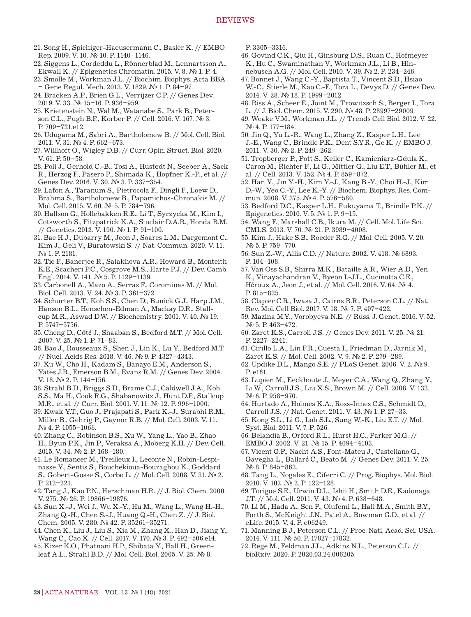- 21. Song H., Spichiger-Haeusermann C., Basler K. // EMBO Rep. 2009. V. 10. № 10. P. 1140–1146.
- 22. Siggens L., Cordeddu L., Rönnerblad M., Lennartsson A., Ekwall K. // Epigenetics Chromatin. 2015. V. 8. № 1. P. 4.
- 23. Smolle M., Workman J.L. // Biochim. Biophys. Acta BBA – Gene Regul. Mech. 2013. V. 1829. № 1. P. 84–97.
- 24. Bracken A.P., Brien G.L., Verrijzer C.P. // Genes Dev. 2019. V. 33. № 15–16. P. 936–959.
- 25. Krietenstein N., Wal M., Watanabe S., Park B., Peterson C.L., Pugh B.F., Korber P. // Cell. 2016. V. 167. № 3. P. 709–721.e12.
- 26. Udugama M., Sabri A., Bartholomew B. // Mol. Cell. Biol. 2011. V. 31. № 4. P. 662–673.
- 27. Willhoft O., Wigley D.B. // Curr. Opin. Struct. Biol. 2020. V. 61. P. 50–58.
- 28. Poli J., Gerhold C.-B., Tosi A., Hustedt N., Seeber A., Sack R., Herzog F., Pasero P., Shimada K., Hopfner K.-P., et al. // Genes Dev. 2016. V. 30. № 3. P. 337–354.
- 29. Lafon A., Taranum S., Pietrocola F., Dingli F., Loew D., Brahma S., Bartholomew B., Papamichos-Chronakis M. // Mol. Cell. 2015. V. 60. № 5. P. 784–796.
- 30. Hallson G., Hollebakken R.E., Li T., Syrzycka M., Kim I., Cotsworth S., Fitzpatrick K.A., Sinclair D.A.R., Honda B.M. // Genetics. 2012. V. 190. № 1. P. 91–100.
- 31. Bae H.J., Dubarry M., Jeon J., Soares L.M., Dargemont C., Kim J., Geli V., Buratowski S. // Nat. Commun. 2020. V. 11. № 1. P. 2181.
- 32. Tie F., Banerjee R., Saiakhova A.R., Howard B., Monteith K.E., Scacheri P.C., Cosgrove M.S., Harte P.J. // Dev. Camb. Engl. 2014. V. 141. № 5. P. 1129–1139.
- 33. Carbonell A., Mazo A., Serras F., Corominas M. // Mol. Biol. Cell. 2013. V. 24. № 3. P. 361–372.
- 34. Schurter B.T., Koh S.S., Chen D., Bunick G.J., Harp J.M., Hanson B.L., Henschen-Edman A., Mackay D.R., Stallcup M.R., Aswad D.W. // Biochemistry. 2001. V. 40. № 19. P. 5747–5756.
- 35. Cheng D., Côté J., Shaaban S., Bedford M.T. // Mol. Cell. 2007. V. 25. № 1. P. 71–83.
- 36. Bao J., Rousseaux S., Shen J., Lin K., Lu Y., Bedford M.T. // Nucl. Acids Res. 2018. V. 46. № 9. P. 4327–4343.
- 37. Xu W., Cho H., Kadam S., Banayo E.M., Anderson S., Yates J.R., Emerson B.M., Evans R.M. // Genes Dev. 2004. V. 18. № 2. P. 144–156.
- 38. Strahl B.D., Briggs S.D., Brame C.J., Caldwell J.A., Koh S.S., Ma H., Cook R.G., Shabanowitz J., Hunt D.F., Stallcup M.R., et al. // Curr. Biol. 2001. V. 11. № 12. P. 996–1000.
- 39. Kwak Y.T., Guo J., Prajapati S., Park K.-J., Surabhi R.M., Miller B., Gehrig P., Gaynor R.B. // Mol. Cell. 2003. V. 11. № 4. P. 1055–1066.
- 40. Zhang C., Robinson B.S., Xu W., Yang L., Yao B., Zhao H., Byun P.K., Jin P., Veraksa A., Moberg K.H. // Dev. Cell. 2015. V. 34. № 2. P. 168–180.
- 41. Le Romancer M., Treilleux I., Leconte N., Robin-Lespinasse Y., Sentis S., Bouchekioua-Bouzaghou K., Goddard S., Gobert-Gosse S., Corbo L. // Mol. Cell. 2008. V. 31. № 2. P. 212–221.
- 42. Tang J., Kao P.N., Herschman H.R. // J. Biol. Chem. 2000. V. 275. № 26. P. 19866–19876.
- 43. Sun X.-J., Wei J., Wu X.-Y., Hu M., Wang L., Wang H.-H., Zhang Q.-H., Chen S.-J., Huang Q.-H., Chen Z. // J. Biol. Chem. 2005. V. 280. № 42. P. 35261–35271.
- 44. Chen K., Liu J., Liu S., Xia M., Zhang X., Han D., Jiang Y., Wang C., Cao X. // Cell. 2017. V. 170. № 3. P. 492–506.e14.
- 45. Kizer K.O., Phatnani H.P., Shibata Y., Hall H., Greenleaf A.L., Strahl B.D. // Mol. Cell. Biol. 2005. V. 25. № 8.

P. 3305–3316.

- 46. Govind C.K., Qiu H., Ginsburg D.S., Ruan C., Hofmeyer K., Hu C., Swaminathan V., Workman J.L., Li B., Hinnebusch A.G. // Mol. Cell. 2010. V. 39. № 2. P. 234–246.
- 47. Bonnet J., Wang C.-Y., Baptista T., Vincent S.D., Hsiao W.-C., Stierle M., Kao C.-F., Tora L., Devys D. // Genes Dev. 2014. V. 28. № 18. P. 1999–2012.
- 48. Riss A., Scheer E., Joint M., Trowitzsch S., Berger I., Tora L. // J. Biol. Chem. 2015. V. 290. № 48. P. 28997–29009.
- 49. Weake V.M., Workman J.L. // Trends Cell Biol. 2012. V. 22. № 4. P. 177–184.
- 50. Jin Q., Yu L.-R., Wang L., Zhang Z., Kasper L.H., Lee J.-E., Wang C., Brindle P.K., Dent S.Y.R., Ge K. // EMBO J. 2011. V. 30. № 2. P. 249–262.
- 51. Tropberger P., Pott S., Keller C., Kamieniarz-Gdula K., Caron M., Richter F., Li G., Mittler G., Liu E.T., Bühler M., et al. // Cell. 2013. V. 152. № 4. P. 859–872.
- 52. Han Y., Jin Y.-H., Kim Y.-J., Kang B.-Y., Choi H.-J., Kim D.-W., Yeo C.-Y., Lee K.-Y. // Biochem. Biophys. Res. Commun. 2008. V. 375. № 4. P. 576–580.
- 53. Bedford D.C., Kasper L.H., Fukuyama T., Brindle P.K. // Epigenetics. 2010. V. 5. № 1. P. 9–15.
- 54. Wang F., Marshall C.B., Ikura M. // Cell. Mol. Life Sci. CMLS. 2013. V. 70. № 21. P. 3989–4008.
- 55. Kim J., Hake S.B., Roeder R.G. // Mol. Cell. 2005. V. 20. № 5. P. 759–770.
- 56. Sun Z.-W., Allis C.D. // Nature. 2002. V. 418. № 6893. P. 104–108.
- 57. Van Oss S.B., Shirra M.K., Bataille A.R., Wier A.D., Yen K., Vinayachandran V., Byeon I.-J.L., Cucinotta C.E., Héroux A., Jeon J., et al. // Mol. Cell. 2016. V. 64. № 4. P. 815–825.
- 58. Clapier C.R., Iwasa J., Cairns B.R., Peterson C.L. // Nat. Rev. Mol. Cell Biol. 2017. V. 18. № 7. P. 407–422.
- 59. Mazina M.Y., Vorobyeva N.E. // Russ. J. Genet. 2016. V. 52. № 5. P. 463–472.
- 60. Zaret K.S., Carroll J.S. // Genes Dev. 2011. V. 25. № 21. P. 2227–2241.
- 61. Cirillo L.A., Lin F.R., Cuesta I., Friedman D., Jarnik M., Zaret K.S. // Mol. Cell. 2002. V. 9. № 2. P. 279–289.
- 62. Updike D.L., Mango S.E. // PLoS Genet. 2006. V. 2. № 9. P. e161.
- 63. Lupien M., Eeckhoute J., Meyer C.A., Wang Q., Zhang Y., Li W., Carroll J.S., Liu X.S., Brown M. // Cell. 2008. V. 132. № 6. P. 958–970.
- 64. Hurtado A., Holmes K.A., Ross-Innes C.S., Schmidt D., Carroll J.S. // Nat. Genet. 2011. V. 43. № 1. P. 27–33.
- 65. Kong S.L., Li G., Loh S.L., Sung W.-K., Liu E.T. // Mol. Syst. Biol. 2011. V. 7. P. 526.
- 66. Belandia B., Orford R.L., Hurst H.C., Parker M.G. // EMBO J. 2002. V. 21. № 15. P. 4094–4103.
- 67. Vicent G.P., Nacht A.S., Font-Mateu J., Castellano G., Gaveglia L., Ballaré C., Beato M. // Genes Dev. 2011. V. 25. № 8. P. 845–862.
- 68. Tang L., Nogales E., Ciferri C. // Prog. Biophys. Mol. Biol. 2010. V. 102. № 2. P. 122–128.
- 69. Torigoe S.E., Urwin D.L., Ishii H., Smith D.E., Kadonaga J.T. // Mol. Cell. 2011. V. 43. № 4. P. 638–648.
- 70. Li M., Hada A., Sen P., Olufemi L., Hall M.A., Smith B.Y., Forth S., McKnight J.N., Patel A., Bowman G.D., et al. // eLife. 2015. V. 4. P. e06249.
- 71. Manning B.J., Peterson C.L. // Proc. Natl. Acad. Sci. USA. 2014. V. 111. № 50. P. 17827–17832.
- 72. Rege M., Feldman J.L., Adkins N.L., Peterson C.L. // bioRxiv. 2020. P. 2020.03.24.006205.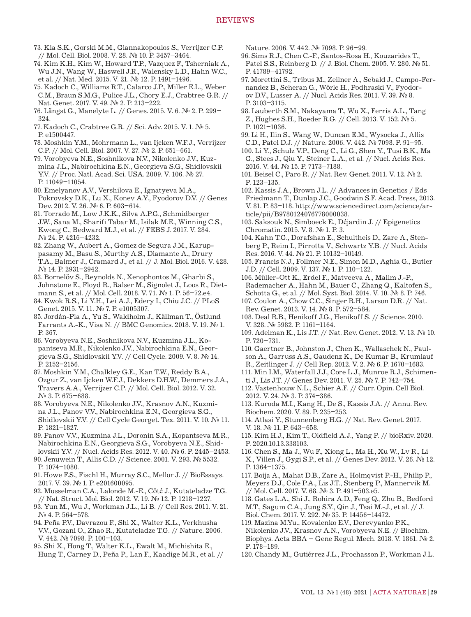- 73. Kia S.K., Gorski M.M., Giannakopoulos S., Verrijzer C.P. // Mol. Cell. Biol. 2008. V. 28. № 10. P. 3457–3464.
- 74. Kim K.H., Kim W., Howard T.P., Vazquez F., Tsherniak A., Wu J.N., Wang W., Haswell J.R., Walensky L.D., Hahn W.C., et al. // Nat. Med. 2015. V. 21. № 12. P. 1491–1496.
- 75. Kadoch C., Williams R.T., Calarco J.P., Miller E.L., Weber C.M., Braun S.M.G., Pulice J.L., Chory E.J., Crabtree G.R. // Nat. Genet. 2017. V. 49. № 2. P. 213–222.
- 76. Längst G., Manelyte L. // Genes. 2015. V. 6. № 2. P. 299– 324.
- 77. Kadoch C., Crabtree G.R. // Sci. Adv. 2015. V. 1. № 5. P. e1500447.
- 78. Moshkin Y.M., Mohrmann L., van Ijcken W.F.J., Verrijzer C.P. // Mol. Cell. Biol. 2007. V. 27. № 2. P. 651–661.
- 79. Vorobyeva N.E., Soshnikova N.V., Nikolenko J.V., Kuzmina J.L., Nabirochkina E.N., Georgieva S.G., Shidlovskii Y.V. // Proc. Natl. Acad. Sci. USA. 2009. V. 106. № 27. P. 11049–11054.
- 80. Emelyanov A.V., Vershilova E., Ignatyeva M.A., Pokrovsky D.K., Lu X., Konev A.Y., Fyodorov D.V. // Genes Dev. 2012. V. 26. № 6. P. 603–614.
- 81. Torrado M., Low J.K.K., Silva A.P.G., Schmidberger J.W., Sana M., Sharifi Tabar M., Isilak M.E., Winning C.S., Kwong C., Bedward M.J., et al. // FEBS J. 2017. V. 284. № 24. P. 4216–4232.
- 82. Zhang W., Aubert A., Gomez de Segura J.M., Karuppasamy M., Basu S., Murthy A.S., Diamante A., Drury T.A., Balmer J., Cramard J., et al. // J. Mol. Biol. 2016. V. 428. № 14. P. 2931–2942.
- 83. Bornelöv S., Reynolds N., Xenophontos M., Gharbi S., Johnstone E., Floyd R., Ralser M., Signolet J., Loos R., Dietmann S., et al. // Mol. Cell. 2018. V. 71. № 1. P. 56–72.e4.
- 84. Kwok R.S., Li Y.H., Lei A.J., Edery I., Chiu J.C. // PLoS Genet. 2015. V. 11. № 7. P. e1005307.
- 85. Jordán-Pla A., Yu S., Waldholm J., Källman T., Östlund Farrants A.-K., Visa N. // BMC Genomics. 2018. V. 19. № 1. P. 367.
- 86. Vorobyeva N.E., Soshnikova N.V., Kuzmina J.L., Kopantseva M.R., Nikolenko J.V., Nabirochkina E.N., Georgieva S.G., Shidlovskii Y.V. // Cell Cycle. 2009. V. 8. № 14. P. 2152–2156.
- 87. Moshkin Y.M., Chalkley G.E., Kan T.W., Reddy B.A., Ozgur Z., van Ijcken W.F.J., Dekkers D.H.W., Demmers J.A., Travers A.A., Verrijzer C.P. // Mol. Cell. Biol. 2012. V. 32. № 3. P. 675–688.
- 88. Vorobyeva N.E., Nikolenko J.V., Krasnov A.N., Kuzmina J.L., Panov V.V., Nabirochkina E.N., Georgieva S.G., Shidlovskii Y.V. // Cell Cycle Georget. Tex. 2011. V. 10. № 11. P. 1821–1827.
- 89. Panov V.V., Kuzmina J.L., Doronin S.A., Kopantseva M.R., Nabirochkina E.N., Georgieva S.G., Vorobyeva N.E., Shidlovskii Y.V. // Nucl. Acids Res. 2012. V. 40. № 6. P. 2445–2453.
- 90. Jenuwein T., Allis C.D. // Science. 2001. V. 293. № 5532. P. 1074–1080.
- 91. Howe F.S., Fischl H., Murray S.C., Mellor J. // BioEssays. 2017. V. 39. № 1. P. e201600095.
- 92. Musselman C.A., Lalonde M.-E., Côté J., Kutateladze T.G. // Nat. Struct. Mol. Biol. 2012. V. 19. № 12. P. 1218–1227.
- 93. Yun M., Wu J., Workman J.L., Li B. // Cell Res. 2011. V. 21. № 4. P. 564–578.
- 94. Peña P.V., Davrazou F., Shi X., Walter K.L., Verkhusha V.V., Gozani O., Zhao R., Kutateladze T.G. // Nature. 2006. V. 442. № 7098. P. 100–103.
- 95. Shi X., Hong T., Walter K.L., Ewalt M., Michishita E., Hung T., Carney D., Peña P., Lan F., Kaadige M.R., et al. //

Nature. 2006. V. 442. № 7098. P. 96–99.

- 96. Sims R.J., Chen C.-F., Santos-Rosa H., Kouzarides T., Patel S.S., Reinberg D. // J. Biol. Chem. 2005. V. 280. № 51. P. 41789–41792.
- 97. Morettini S., Tribus M., Zeilner A., Sebald J., Campo-Fernandez B., Scheran G., Wörle H., Podhraski V., Fyodorov D.V., Lusser A. // Nucl. Acids Res. 2011. V. 39. № 8. P. 3103–3115.
- 98. Lauberth S.M., Nakayama T., Wu X., Ferris A.L., Tang Z., Hughes S.H., Roeder R.G. // Cell. 2013. V. 152. № 5. P. 1021–1036.
- 99. Li H., Ilin S., Wang W., Duncan E.M., Wysocka J., Allis C.D., Patel D.J. // Nature. 2006. V. 442. № 7098. P. 91–95.
- 100. Li Y., Schulz V.P., Deng C., Li G., Shen Y., Tusi B.K., Ma G., Stees J., Qiu Y., Steiner L.A., et al. // Nucl. Acids Res. 2016. V. 44. № 15. P. 7173–7188.
- 101. Beisel C., Paro R. // Nat. Rev. Genet. 2011. V. 12. № 2. P. 123–135.
- 102. Kassis J.A., Brown J.L. // Advances in Genetics / Eds Friedmann T., Dunlap J.C., Goodwin S.F. Acad. Press, 2013. V. 81. P. 83–118. http://www.sciencedirect.com/science/article/pii/B9780124076778000038.
- 103. Saksouk N., Simboeck E., Déjardin J. // Epigenetics Chromatin. 2015. V. 8. № 1. P. 3.
- 104. Kahn T.G., Dorafshan E., Schultheis D., Zare A., Stenberg P., Reim I., Pirrotta V., Schwartz Y.B. // Nucl. Acids Res. 2016. V. 44. № 21. P. 10132–10149.
- 105. Francis N.J., Follmer N.E., Simon M.D., Aghia G., Butler J.D. // Cell. 2009. V. 137. № 1. P. 110–122.
- 106. Müller-Ott K., Erdel F., Matveeva A., Mallm J.-P., Rademacher A., Hahn M., Bauer C., Zhang Q., Kaltofen S., Schotta G., et al. // Mol. Syst. Biol. 2014. V. 10. № 8. P. 746.
- 107. Coulon A., Chow C.C., Singer R.H., Larson D.R. // Nat. Rev. Genet. 2013. V. 14. № 8. P. 572–584.
- 108. Deal R.B., Henikoff J.G., Henikoff S. // Science. 2010. V. 328. № 5982. P. 1161–1164.
- 109. Adelman K., Lis J.T. // Nat. Rev. Genet. 2012. V. 13. № 10. P. 720–731.
- 110. Gaertner B., Johnston J., Chen K., Wallaschek N., Paulson A., Garruss A.S., Gaudenz K., De Kumar B., Krumlauf R., Zeitlinger J. // Cell Rep. 2012. V. 2. № 6. P. 1670–1683.
- 111. Min I.M., Waterfall J.J., Core L.J., Munroe R.J., Schimenti J., Lis J.T. // Genes Dev. 2011. V. 25. № 7. P. 742–754.
- 112. Vastenhouw N.L., Schier A.F. // Curr. Opin. Cell Biol. 2012. V. 24. № 3. P. 374–386.
- 113. Kuroda M.I., Kang H., De S., Kassis J.A. // Annu. Rev. Biochem. 2020. V. 89. P. 235–253.
- 114. Atlasi Y., Stunnenberg H.G. // Nat. Rev. Genet. 2017. V. 18. № 11. P. 643–658.
- 115. Kim H.J., Kim T., Oldfield A.J., Yang P. // bioRxiv. 2020. P. 2020.10.13.338103.
- 116. Chen S., Ma J., Wu F., Xiong L., Ma H., Xu W., Lv R., Li X., Villen J., Gygi S.P., et al. // Genes Dev. 2012. V. 26. № 12. P. 1364–1375.
- 117. Boija A., Mahat D.B., Zare A., Holmqvist P.-H., Philip P., Meyers D.J., Cole P.A., Lis J.T., Stenberg P., Mannervik M. // Mol. Cell. 2017. V. 68. № 3. P. 491–503.e5.
- 118. Gates L.A., Shi J., Rohira A.D., Feng Q., Zhu B., Bedford M.T., Sagum C.A., Jung S.Y., Qin J., Tsai M.-J., et al. // J. Biol. Chem. 2017. V. 292. № 35. P. 14456–14472.
- 119. Mazina M.Yu., Kovalenko E.V., Derevyanko P.K., Nikolenko J.V., Krasnov A.N., Vorobyeva N.E. // Biochim. Biophys. Acta BBA – Gene Regul. Mech. 2018. V. 1861. № 2. P. 178–189.
- 120. Chandy M., Gutiérrez J.L., Prochasson P., Workman J.L.